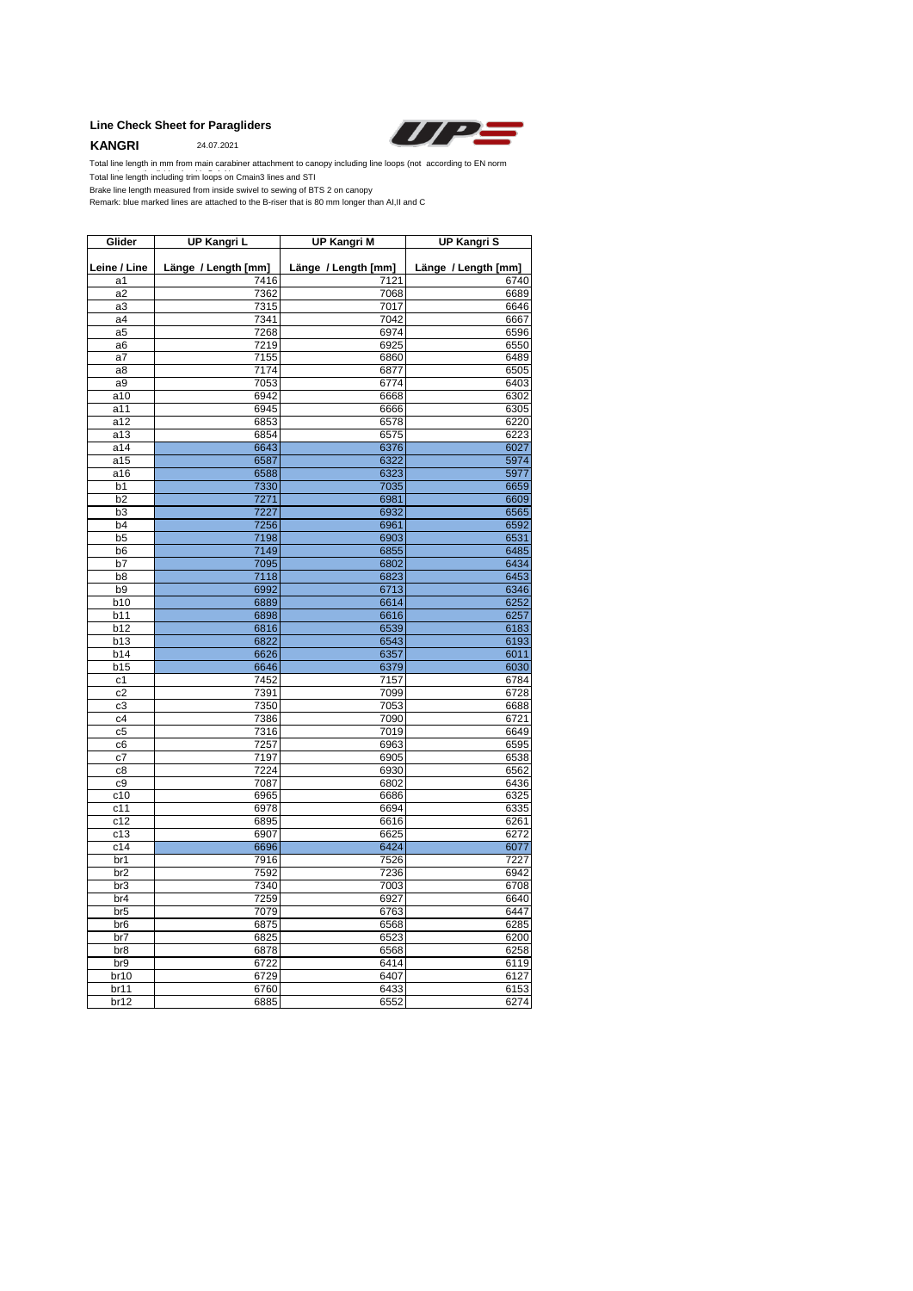### **Line Check Sheet for Paragliders**

**KANGRI** 24.07.2021



Total line length including trim loops on Cmain3 lines and STI Total line length in mm from main carabiner attachment to canopy including line loops (not according to EN norm Total line length including trim loops on

Brake line length measured from inside swivel to sewing of BTS 2 on canopy

Remark: blue marked lines are attached to the B-riser that is 80 mm longer than AI,II and C

| Glider          | UP Kangri L         | <b>UP Kangri M</b>  | UP Kangri S         |
|-----------------|---------------------|---------------------|---------------------|
| Leine / Line    | Länge / Length [mm] | Länge / Length [mm] | Länge / Length [mm] |
| a1              | 7416                | 7121                | 6740                |
| a2              | 7362                | 7068                | 6689                |
| a3              | 7315                | 7017                | 6646                |
| a4              | 7341                | 7042                | 6667                |
| a <sub>5</sub>  | 7268                | 6974                | 6596                |
| a6              | 7219                | 6925                | 6550                |
| a7              | 7155                | 6860                | 6489                |
| a8              | 7174                | 6877                | 6505                |
| a9              | 7053                | 6774                | 6403                |
| a10             | 6942                | 6668                | 6302                |
| a11             | 6945                | 6666                | 6305                |
| a12             | 6853                | 6578                | 6220                |
| a13             | 6854                | 6575                | 6223                |
| a14             | 6643                | 6376                | 6027                |
| a15             | 6587                | 6322                | 5974                |
| a16             | 6588                | 6323                | 5977                |
| b1              | 7330                | 7035                | 6659                |
| b <sub>2</sub>  | 7271                | 6981                | 6609                |
| b <sub>3</sub>  | 7227                | 6932                | 6565                |
| b4              | 7256                | 6961                | 6592                |
| b <sub>5</sub>  | 7198                | 6903                | 6531                |
| b6              | 7149                | 6855                | 6485                |
| b7              | 7095                | 6802                | 6434                |
| b8              | 7118                | 6823                | 6453                |
| b <sub>9</sub>  | 6992                | 6713                | 6346                |
| b10             | 6889                | 6614                | 6252                |
| b11             | 6898                | 6616                | 6257                |
| b12             | 6816                | 6539                | 6183                |
| b13             | 6822                | 6543                | 6193                |
| b14             | 6626                | 6357                | 6011                |
| b15             | 6646                | 6379                | 6030                |
| c1              | 7452                | 7157                | 6784                |
| c2              | 7391                | 7099                | 6728                |
| c3              | 7350                | 7053                | 6688                |
| c4              | 7386                | 7090                | 6721                |
| c <sub>5</sub>  | 7316                | 7019                | 6649                |
| c <sub>6</sub>  | 7257                | 6963                | 6595                |
| c7              | 7197                | 6905                | 6538                |
| c8              | 7224                | 6930                | 6562                |
| c9              | 7087                | 6802                | 6436                |
| c10             | 6965                | 6686                | 6325                |
| c11             | 6978                | 6694                | 6335                |
| c12             | 6895                | 6616                | 6261                |
| c13             | 6907                | 6625                | 6272                |
| c14             | 6696                | 6424                | 6077                |
| br1             | 7916                | 7526                | 7227                |
| br <sub>2</sub> | 7592                | 7236                | 6942                |
| br3             | 7340                | 7003                | 6708                |
| br4             | 7259                | 6927                | 6640                |
| br <sub>5</sub> | 7079                | 6763                | 6447                |
| br <sub>6</sub> | 6875                | 6568                | 6285                |
| br7             | 6825                | 6523                | 6200                |
| br8             | 6878                | 6568                | 6258                |
| br9             | 6722                | 6414                | 6119                |
| br10            | 6729                | 6407                | 6127                |
| br11            | 6760                | 6433                | 6153                |
| br12            | 6885                | 6552                | 6274                |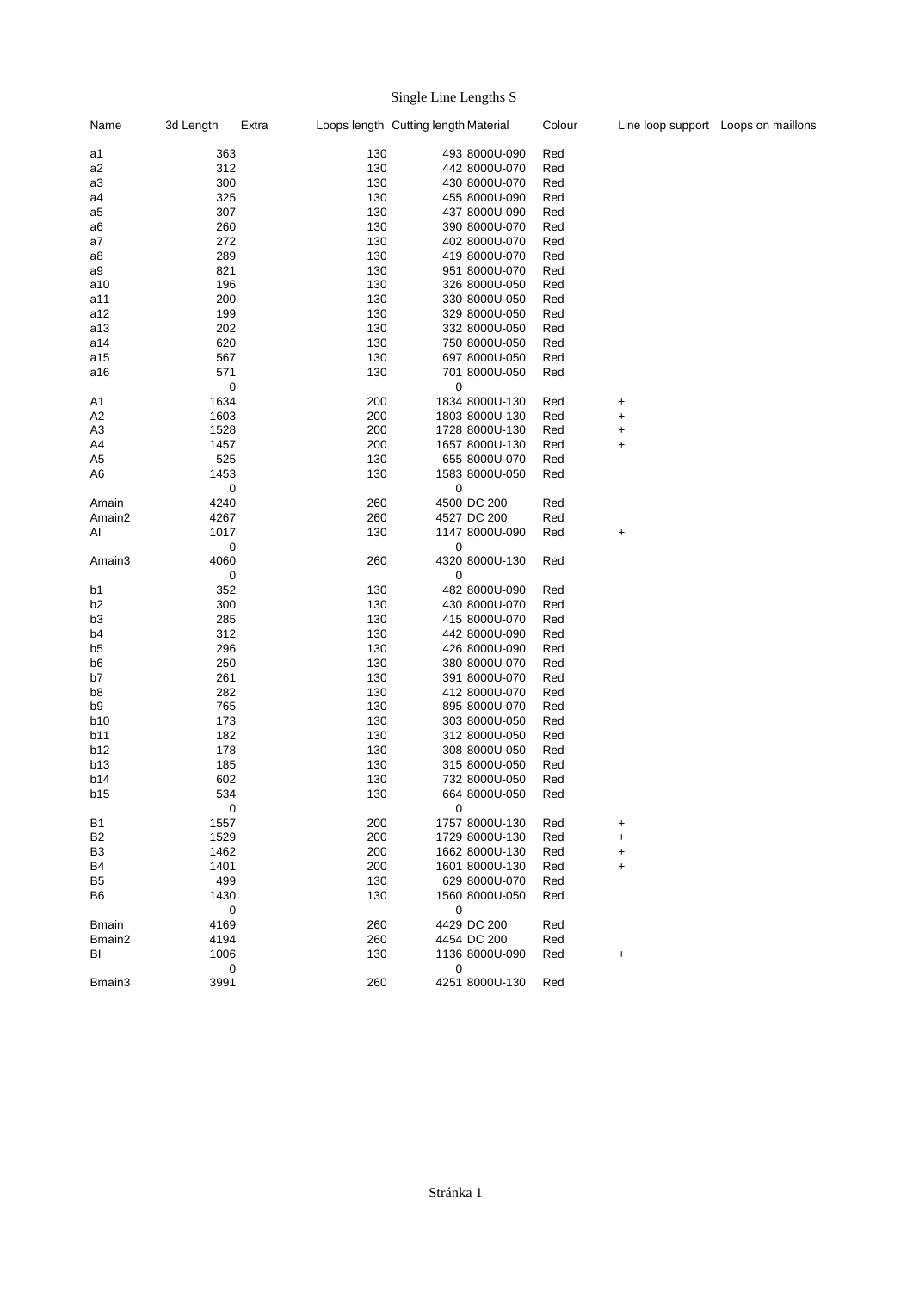## Single Line Lengths S

| Name           | 3d Length | Extra  |     | Loops length Cutting length Material | Colour |   | Line loop support Loops on maillons |
|----------------|-----------|--------|-----|--------------------------------------|--------|---|-------------------------------------|
| a1             | 363       |        | 130 | 493 8000U-090                        | Red    |   |                                     |
| a2             | 312       |        | 130 | 442 8000U-070                        | Red    |   |                                     |
| a3             | 300       |        | 130 | 430 8000U-070                        | Red    |   |                                     |
| a4             | 325       |        | 130 | 455 8000U-090                        | Red    |   |                                     |
| a5             | 307       |        | 130 | 437 8000U-090                        | Red    |   |                                     |
|                | 260       |        | 130 | 390 8000U-070                        | Red    |   |                                     |
| a6             | 272       |        | 130 |                                      |        |   |                                     |
| a7             |           |        |     | 402 8000U-070                        | Red    |   |                                     |
| a8             | 289       |        | 130 | 419 8000U-070                        | Red    |   |                                     |
| a9             | 821       |        | 130 | 951 8000U-070                        | Red    |   |                                     |
| a10            | 196       |        | 130 | 326 8000U-050                        | Red    |   |                                     |
| a11            | 200       |        | 130 | 330 8000U-050                        | Red    |   |                                     |
| a12            | 199       |        | 130 | 329 8000U-050                        | Red    |   |                                     |
| a13            | 202       |        | 130 | 332 8000U-050                        | Red    |   |                                     |
| a14            | 620       |        | 130 | 750 8000U-050                        | Red    |   |                                     |
| a15            | 567       |        | 130 | 697 8000U-050                        | Red    |   |                                     |
| a16            | 571       |        | 130 | 701 8000U-050                        | Red    |   |                                     |
|                |           | 0      |     | 0                                    |        |   |                                     |
| A1             | 1634      |        | 200 | 1834 8000U-130                       | Red    | + |                                     |
| A <sub>2</sub> | 1603      |        | 200 | 1803 8000U-130                       | Red    | + |                                     |
| A3             | 1528      |        | 200 | 1728 8000U-130                       | Red    | + |                                     |
| A4             | 1457      |        | 200 | 1657 8000U-130                       | Red    | + |                                     |
| A <sub>5</sub> | 525       |        | 130 | 655 8000U-070                        | Red    |   |                                     |
| A6             | 1453      |        | 130 | 1583 8000U-050                       | Red    |   |                                     |
|                |           |        |     |                                      |        |   |                                     |
|                |           | 0      |     | 0                                    |        |   |                                     |
| Amain          | 4240      |        | 260 | 4500 DC 200                          | Red    |   |                                     |
| Amain2         | 4267      |        | 260 | 4527 DC 200                          | Red    |   |                                     |
| Al             | 1017      |        | 130 | 1147 8000U-090                       | Red    | + |                                     |
|                |           | 0      |     | 0                                    |        |   |                                     |
| Amain3         | 4060      |        | 260 | 4320 8000U-130                       | Red    |   |                                     |
|                |           | 0      |     | 0                                    |        |   |                                     |
| b1             | 352       |        | 130 | 482 8000U-090                        | Red    |   |                                     |
| b <sub>2</sub> | 300       |        | 130 | 430 8000U-070                        | Red    |   |                                     |
| b <sub>3</sub> | 285       |        | 130 | 415 8000U-070                        | Red    |   |                                     |
| b4             | 312       |        | 130 | 442 8000U-090                        | Red    |   |                                     |
| b <sub>5</sub> | 296       |        | 130 | 426 8000U-090                        | Red    |   |                                     |
| b6             | 250       |        | 130 | 380 8000U-070                        | Red    |   |                                     |
| b7             | 261       |        | 130 | 391 8000U-070                        | Red    |   |                                     |
| b8             | 282       |        | 130 | 412 8000U-070                        | Red    |   |                                     |
| b9             | 765       |        | 130 | 895 8000U-070                        | Red    |   |                                     |
| <b>b10</b>     | 173       |        | 130 | 303 8000U-050                        | Red    |   |                                     |
| b11            | 182       |        | 130 | 312 8000U-050                        | Red    |   |                                     |
| <b>b12</b>     | 178       |        | 130 | 308 8000U-050                        | Red    |   |                                     |
| <b>b13</b>     | 185       |        | 130 | 315 8000U-050                        | Red    |   |                                     |
| <b>b14</b>     | 602       |        | 130 | 732 8000U-050                        | Red    |   |                                     |
| <b>b15</b>     | 534       |        | 130 | 664 8000U-050                        | Red    |   |                                     |
|                |           |        |     |                                      |        |   |                                     |
|                |           | $\cup$ |     | 0                                    |        |   |                                     |
| <b>B1</b>      | 1557      |        | 200 | 1757 8000U-130                       | Red    | + |                                     |
| B <sub>2</sub> | 1529      |        | 200 | 1729 8000U-130                       | Red    | + |                                     |
| B <sub>3</sub> | 1462      |        | 200 | 1662 8000U-130                       | Red    | + |                                     |
| B4             | 1401      |        | 200 | 1601 8000U-130                       | Red    | + |                                     |
| B5             | 499       |        | 130 | 629 8000U-070                        | Red    |   |                                     |
| B6             | 1430      |        | 130 | 1560 8000U-050                       | Red    |   |                                     |
|                |           | 0      |     | 0                                    |        |   |                                     |
| <b>Bmain</b>   | 4169      |        | 260 | 4429 DC 200                          | Red    |   |                                     |
| Bmain2         | 4194      |        | 260 | 4454 DC 200                          | Red    |   |                                     |
| BI             | 1006      |        | 130 | 1136 8000U-090                       | Red    | + |                                     |
|                |           | 0      |     | 0                                    |        |   |                                     |
| Bmain3         | 3991      |        | 260 | 4251 8000U-130                       | Red    |   |                                     |
|                |           |        |     |                                      |        |   |                                     |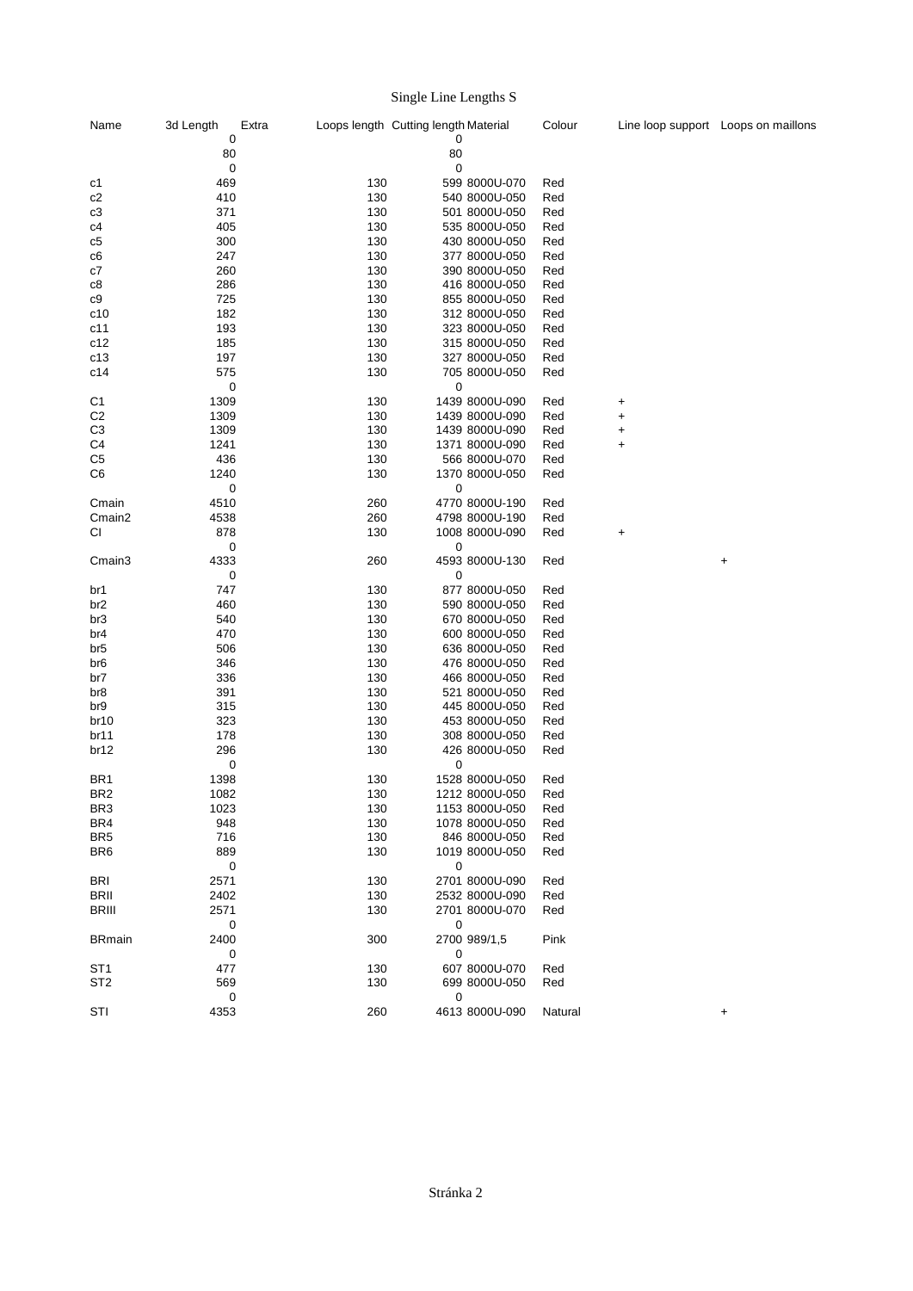## Single Line Lengths S

| Name             | 3d Length          | Extra      | Loops length Cutting length Material | Colour     |           | Line loop support Loops on maillons |
|------------------|--------------------|------------|--------------------------------------|------------|-----------|-------------------------------------|
|                  | 0                  |            | 0                                    |            |           |                                     |
|                  | 80                 |            | 80                                   |            |           |                                     |
|                  | $\mathbf 0$<br>469 | 130        | 0<br>599 8000U-070                   |            |           |                                     |
| c1<br>c2         | 410                | 130        | 540 8000U-050                        | Red<br>Red |           |                                     |
| c3               | 371                | 130        | 501 8000U-050                        | Red        |           |                                     |
|                  |                    | 130        |                                      |            |           |                                     |
| c4               | 405                |            | 535 8000U-050                        | Red        |           |                                     |
| c5               | 300                | 130        | 430 8000U-050                        | Red        |           |                                     |
| c6               | 247                | 130        | 377 8000U-050                        | Red        |           |                                     |
| c7               | 260                | 130        | 390 8000U-050                        | Red        |           |                                     |
| c8<br>c9         | 286<br>725         | 130<br>130 | 416 8000U-050<br>855 8000U-050       | Red<br>Red |           |                                     |
| c10              | 182                | 130        | 312 8000U-050                        |            |           |                                     |
|                  |                    | 130        | 323 8000U-050                        | Red        |           |                                     |
| c11              | 193                | 130        |                                      | Red        |           |                                     |
| c12              | 185                |            | 315 8000U-050                        | Red        |           |                                     |
| c13              | 197                | 130        | 327 8000U-050                        | Red        |           |                                     |
| c14              | 575                | 130        | 705 8000U-050                        | Red        |           |                                     |
| C <sub>1</sub>   | 0<br>1309          | 130        | 0                                    |            |           |                                     |
| C <sub>2</sub>   |                    | 130        | 1439 8000U-090<br>1439 8000U-090     | Red        | $\ddot{}$ |                                     |
|                  | 1309               |            |                                      | Red        | +         |                                     |
| C <sub>3</sub>   | 1309               | 130        | 1439 8000U-090                       | Red        | +         |                                     |
| C <sub>4</sub>   | 1241               | 130        | 1371 8000U-090                       | Red        | $\ddot{}$ |                                     |
| C <sub>5</sub>   | 436                | 130        | 566 8000U-070                        | Red        |           |                                     |
| C <sub>6</sub>   | 1240               | 130        | 1370 8000U-050                       | Red        |           |                                     |
|                  | 0                  |            | 0                                    |            |           |                                     |
| Cmain            | 4510               | 260        | 4770 8000U-190                       | Red        |           |                                     |
| Cmain2           | 4538               | 260        | 4798 8000U-190                       | Red        |           |                                     |
| СI               | 878                | 130        | 1008 8000U-090                       | Red        | $\ddot{}$ |                                     |
|                  | $\mathbf 0$        |            | 0                                    |            |           |                                     |
| Cmain3           | 4333               | 260        | 4593 8000U-130                       | Red        |           | $\ddot{}$                           |
|                  | $\mathbf 0$        |            | 0                                    |            |           |                                     |
| br1              | 747                | 130        | 877 8000U-050                        | Red        |           |                                     |
| br <sub>2</sub>  | 460                | 130        | 590 8000U-050                        | Red        |           |                                     |
| br3              | 540                | 130        | 670 8000U-050                        | Red        |           |                                     |
| br4              | 470                | 130        | 600 8000U-050                        | Red        |           |                                     |
| br5              | 506                | 130        | 636 8000U-050                        | Red        |           |                                     |
| br6              | 346                | 130        | 476 8000U-050                        | Red        |           |                                     |
| br7              | 336                | 130        | 466 8000U-050                        | Red        |           |                                     |
| br8              | 391                | 130        | 521 8000U-050                        | Red        |           |                                     |
| br9              | 315                | 130        | 445 8000U-050                        | Red        |           |                                     |
| br <sub>10</sub> | 323                | 130        | 453 8000U-050                        | Red        |           |                                     |
| br11             | 178                | 130        | 308 8000U-050                        | Red        |           |                                     |
| br12             | 296                | 130        | 426 8000U-050                        | Red        |           |                                     |
|                  | 0                  |            | 0                                    |            |           |                                     |
| BR <sub>1</sub>  | 1398               | 130        | 1528 8000U-050                       | Red        |           |                                     |
| BR <sub>2</sub>  | 1082               | 130        | 1212 8000U-050                       | Red        |           |                                     |
| BR3              | 1023               | 130        | 1153 8000U-050                       | Red        |           |                                     |
| BR4              | 948                | 130        | 1078 8000U-050                       | Red        |           |                                     |
| BR <sub>5</sub>  | 716                | 130        | 846 8000U-050                        | Red        |           |                                     |
| BR <sub>6</sub>  | 889                | 130        | 1019 8000U-050                       | Red        |           |                                     |
|                  | 0                  |            | 0                                    |            |           |                                     |
| BRI              | 2571               | 130        | 2701 8000U-090                       | Red        |           |                                     |
| BRII             | 2402               | 130        | 2532 8000U-090                       | Red        |           |                                     |
| <b>BRIII</b>     | 2571               | 130        | 2701 8000U-070                       | Red        |           |                                     |
|                  | 0                  |            | 0                                    |            |           |                                     |
| <b>BRmain</b>    | 2400               | 300        | 2700 989/1,5                         | Pink       |           |                                     |
|                  | 0                  |            | 0                                    |            |           |                                     |
| ST1              | 477                | 130        | 607 8000U-070                        | Red        |           |                                     |
| ST <sub>2</sub>  | 569                | 130        | 699 8000U-050                        | Red        |           |                                     |
|                  | 0                  |            | 0                                    |            |           |                                     |
| STI              | 4353               | 260        | 4613 8000U-090                       | Natural    |           | $\ddot{}$                           |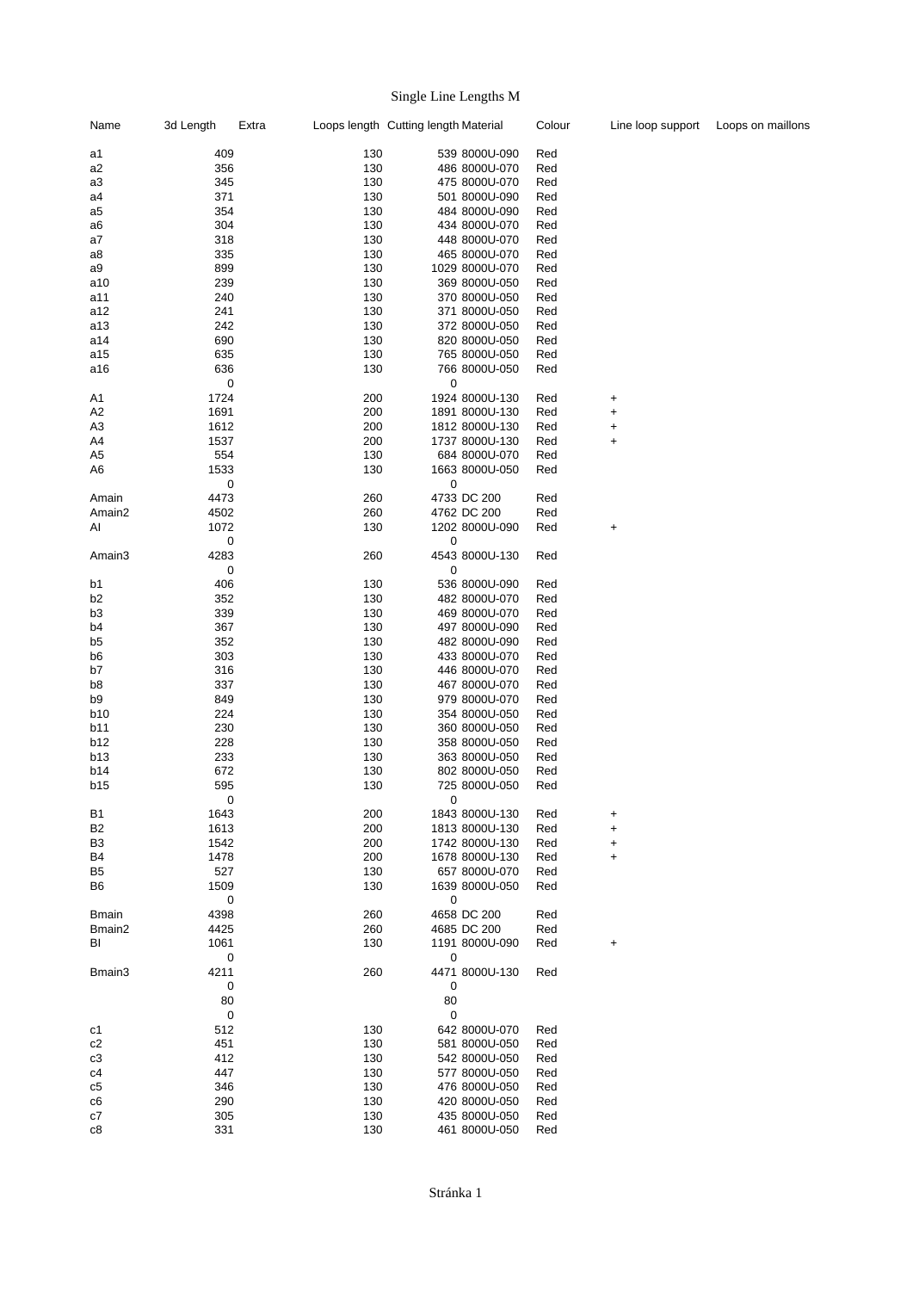## Single Line Lengths M

| Name               | 3d Length | Extra     |     | Loops length Cutting length Material |                | Colour | Line loop support | Loops on maillons |
|--------------------|-----------|-----------|-----|--------------------------------------|----------------|--------|-------------------|-------------------|
| a1                 | 409       |           | 130 |                                      | 539 8000U-090  | Red    |                   |                   |
| a2                 | 356       |           | 130 |                                      | 486 8000U-070  | Red    |                   |                   |
| a3                 | 345       |           | 130 |                                      | 475 8000U-070  | Red    |                   |                   |
| a4                 | 371       |           | 130 |                                      | 501 8000U-090  | Red    |                   |                   |
| a5                 | 354       |           | 130 |                                      | 484 8000U-090  | Red    |                   |                   |
| a6                 | 304       |           | 130 |                                      | 434 8000U-070  | Red    |                   |                   |
| a7                 | 318       |           | 130 |                                      | 448 8000U-070  | Red    |                   |                   |
| a8                 | 335       |           | 130 |                                      | 465 8000U-070  | Red    |                   |                   |
| a9                 | 899       |           | 130 |                                      | 1029 8000U-070 | Red    |                   |                   |
| a10                | 239       |           | 130 |                                      | 369 8000U-050  | Red    |                   |                   |
| a11                | 240       |           | 130 |                                      | 370 8000U-050  | Red    |                   |                   |
| a12                | 241       |           | 130 |                                      | 371 8000U-050  | Red    |                   |                   |
| a13                | 242       |           | 130 |                                      | 372 8000U-050  | Red    |                   |                   |
| a14                | 690       |           | 130 |                                      | 820 8000U-050  | Red    |                   |                   |
| a15                | 635       |           | 130 |                                      | 765 8000U-050  | Red    |                   |                   |
| a16                | 636       |           | 130 |                                      | 766 8000U-050  | Red    |                   |                   |
|                    |           | $\pmb{0}$ |     | $\mathbf 0$                          |                |        |                   |                   |
| A <sub>1</sub>     | 1724      |           | 200 |                                      | 1924 8000U-130 | Red    | +                 |                   |
| A2                 | 1691      |           | 200 |                                      | 1891 8000U-130 | Red    | +                 |                   |
| A <sub>3</sub>     | 1612      |           | 200 |                                      | 1812 8000U-130 | Red    | +                 |                   |
| A4                 | 1537      |           | 200 |                                      | 1737 8000U-130 | Red    | $\ddot{}$         |                   |
| A <sub>5</sub>     | 554       |           | 130 |                                      | 684 8000U-070  | Red    |                   |                   |
| A6                 | 1533      |           | 130 |                                      | 1663 8000U-050 | Red    |                   |                   |
|                    |           | 0         |     | 0                                    |                |        |                   |                   |
| Amain              | 4473      |           | 260 |                                      | 4733 DC 200    | Red    |                   |                   |
| Amain <sub>2</sub> | 4502      |           | 260 |                                      | 4762 DC 200    | Red    |                   |                   |
| Al                 | 1072      |           | 130 |                                      | 1202 8000U-090 | Red    | +                 |                   |
|                    |           | 0         |     | 0                                    |                |        |                   |                   |
| Amain3             | 4283      |           | 260 |                                      | 4543 8000U-130 | Red    |                   |                   |
|                    |           | 0         |     | 0                                    |                |        |                   |                   |
|                    |           |           |     |                                      |                |        |                   |                   |
| b1                 | 406       |           | 130 |                                      | 536 8000U-090  | Red    |                   |                   |
| b <sub>2</sub>     | 352       |           | 130 |                                      | 482 8000U-070  | Red    |                   |                   |
| b <sub>3</sub>     | 339       |           | 130 |                                      | 469 8000U-070  | Red    |                   |                   |
| b <sub>4</sub>     | 367       |           | 130 |                                      | 497 8000U-090  | Red    |                   |                   |
| b <sub>5</sub>     | 352       |           | 130 |                                      | 482 8000U-090  | Red    |                   |                   |
| b6                 | 303       |           | 130 |                                      | 433 8000U-070  | Red    |                   |                   |
| b7                 | 316       |           | 130 |                                      | 446 8000U-070  | Red    |                   |                   |
| b8                 | 337       |           | 130 |                                      | 467 8000U-070  | Red    |                   |                   |
| b9                 | 849       |           | 130 |                                      | 979 8000U-070  | Red    |                   |                   |
| b10                | 224       |           | 130 |                                      | 354 8000U-050  | Red    |                   |                   |
| b11                | 230       |           | 130 |                                      | 360 8000U-050  | Red    |                   |                   |
| b12                | 228       |           | 130 |                                      | 358 8000U-050  | Red    |                   |                   |
| <b>b13</b>         | 233       |           | 130 |                                      | 363 8000U-050  | Red    |                   |                   |
| b14                | 672       |           | 130 |                                      | 802 8000U-050  | Red    |                   |                   |
| <b>b15</b>         | 595       |           | 130 |                                      | 725 8000U-050  | Red    |                   |                   |
|                    |           | 0         |     | 0                                    |                |        |                   |                   |
| <b>B1</b>          | 1643      |           | 200 |                                      | 1843 8000U-130 | Red    | +                 |                   |
| B <sub>2</sub>     | 1613      |           | 200 |                                      | 1813 8000U-130 | Red    | +                 |                   |
| B3                 | 1542      |           | 200 |                                      | 1742 8000U-130 | Red    | +                 |                   |
| B4                 | 1478      |           | 200 |                                      | 1678 8000U-130 | Red    | +                 |                   |
| B5                 | 527       |           | 130 |                                      | 657 8000U-070  | Red    |                   |                   |
| B6                 | 1509      |           | 130 |                                      | 1639 8000U-050 | Red    |                   |                   |
|                    |           | 0         |     | $\pmb{0}$                            |                |        |                   |                   |
| <b>Bmain</b>       | 4398      |           | 260 |                                      | 4658 DC 200    | Red    |                   |                   |
| Bmain2             | 4425      |           | 260 |                                      | 4685 DC 200    | Red    |                   |                   |
| BI                 | 1061      |           | 130 |                                      | 1191 8000U-090 | Red    | +                 |                   |
|                    |           | 0         |     | 0                                    |                |        |                   |                   |
| Bmain3             | 4211      |           | 260 |                                      | 4471 8000U-130 | Red    |                   |                   |
|                    |           | 0         |     | 0                                    |                |        |                   |                   |
|                    | 80        |           |     | 80                                   |                |        |                   |                   |
|                    |           | 0         |     | 0                                    |                |        |                   |                   |
| c1                 | 512       |           | 130 |                                      | 642 8000U-070  | Red    |                   |                   |
| c2                 | 451       |           | 130 |                                      | 581 8000U-050  | Red    |                   |                   |
| c3                 | 412       |           | 130 |                                      | 542 8000U-050  | Red    |                   |                   |
| c4                 | 447       |           | 130 |                                      | 577 8000U-050  | Red    |                   |                   |
| c5                 | 346       |           | 130 |                                      | 476 8000U-050  | Red    |                   |                   |
| c6                 | 290       |           | 130 |                                      | 420 8000U-050  | Red    |                   |                   |
| c7                 | 305       |           | 130 |                                      | 435 8000U-050  | Red    |                   |                   |
| c8                 | 331       |           | 130 |                                      | 461 8000U-050  | Red    |                   |                   |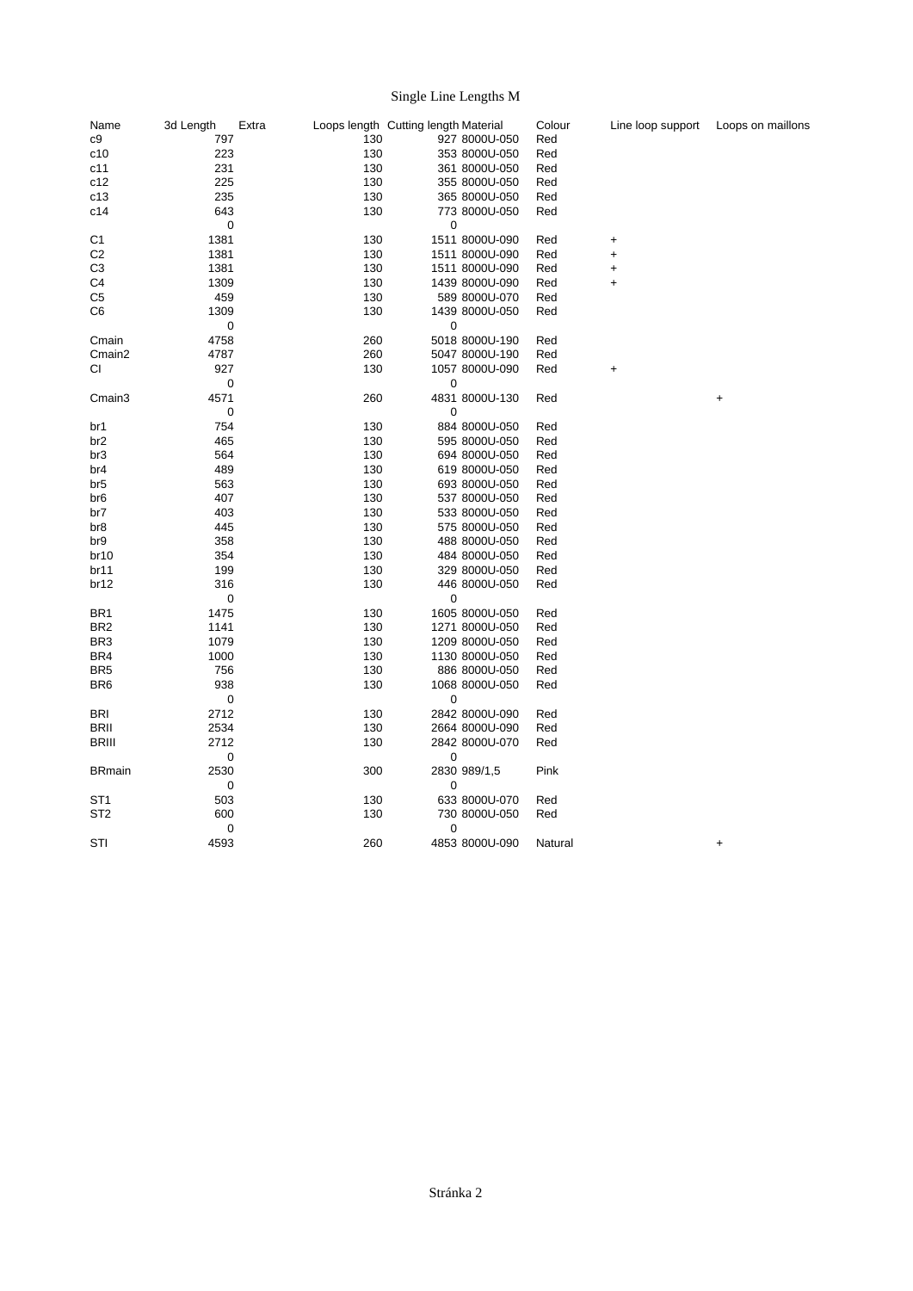## Single Line Lengths M

| Name                               | 3d Length   | Extra |     | Loops length Cutting length Material |                | Colour     | Line loop support | Loops on maillons |
|------------------------------------|-------------|-------|-----|--------------------------------------|----------------|------------|-------------------|-------------------|
| c9                                 | 797         |       | 130 |                                      | 927 8000U-050  | Red        |                   |                   |
| c10                                | 223         |       | 130 |                                      | 353 8000U-050  | Red        |                   |                   |
| c11                                | 231         |       | 130 |                                      | 361 8000U-050  | Red        |                   |                   |
| c12                                | 225         |       | 130 |                                      | 355 8000U-050  | Red        |                   |                   |
| c13                                | 235         |       | 130 |                                      | 365 8000U-050  | Red        |                   |                   |
| c14                                | 643         |       | 130 |                                      | 773 8000U-050  | Red        |                   |                   |
|                                    | $\pmb{0}$   |       |     | 0                                    |                |            |                   |                   |
| C <sub>1</sub>                     | 1381        |       | 130 |                                      | 1511 8000U-090 | Red        | +                 |                   |
| C <sub>2</sub>                     | 1381        |       | 130 |                                      | 1511 8000U-090 | Red        | $\ddot{}$         |                   |
| C <sub>3</sub>                     | 1381        |       | 130 |                                      | 1511 8000U-090 | Red        | $\pmb{+}$         |                   |
| C <sub>4</sub>                     | 1309        |       | 130 |                                      | 1439 8000U-090 | Red        | +                 |                   |
| C <sub>5</sub>                     | 459         |       | 130 |                                      | 589 8000U-070  | Red        |                   |                   |
| C <sub>6</sub>                     | 1309        |       | 130 |                                      | 1439 8000U-050 | Red        |                   |                   |
|                                    | 0           |       |     | 0                                    |                |            |                   |                   |
| Cmain                              | 4758        |       | 260 |                                      | 5018 8000U-190 | Red        |                   |                   |
| Cmain <sub>2</sub>                 | 4787        |       | 260 |                                      | 5047 8000U-190 | Red        |                   |                   |
| СI                                 | 927         |       | 130 |                                      | 1057 8000U-090 | Red        | +                 |                   |
|                                    | $\pmb{0}$   |       |     | 0                                    |                |            |                   |                   |
| Cmain3                             | 4571        |       | 260 |                                      | 4831 8000U-130 | Red        |                   | $\pmb{+}$         |
|                                    | 0           |       |     | 0                                    |                |            |                   |                   |
| br1                                | 754         |       | 130 |                                      | 884 8000U-050  | Red        |                   |                   |
| br <sub>2</sub>                    | 465         |       | 130 |                                      | 595 8000U-050  | Red        |                   |                   |
| br <sub>3</sub>                    | 564         |       | 130 |                                      | 694 8000U-050  | Red        |                   |                   |
| br4                                | 489         |       | 130 |                                      | 619 8000U-050  | Red        |                   |                   |
| br <sub>5</sub>                    | 563         |       | 130 |                                      | 693 8000U-050  | Red        |                   |                   |
| br6                                | 407         |       | 130 |                                      | 537 8000U-050  | Red        |                   |                   |
| br7                                | 403         |       | 130 |                                      | 533 8000U-050  | Red        |                   |                   |
| br8                                | 445         |       | 130 |                                      | 575 8000U-050  | Red        |                   |                   |
| br9                                | 358         |       | 130 |                                      | 488 8000U-050  | Red        |                   |                   |
| br <sub>10</sub>                   | 354         |       | 130 |                                      | 484 8000U-050  | Red        |                   |                   |
| br11                               | 199         |       | 130 |                                      | 329 8000U-050  | Red        |                   |                   |
|                                    | 316         |       | 130 |                                      | 446 8000U-050  |            |                   |                   |
| br12                               | $\mathbf 0$ |       |     |                                      |                | Red        |                   |                   |
|                                    | 1475        |       | 130 | 0                                    |                |            |                   |                   |
| BR <sub>1</sub><br>BR <sub>2</sub> | 1141        |       | 130 |                                      | 1605 8000U-050 | Red<br>Red |                   |                   |
|                                    |             |       |     |                                      | 1271 8000U-050 |            |                   |                   |
| BR <sub>3</sub>                    | 1079        |       | 130 |                                      | 1209 8000U-050 | Red        |                   |                   |
| BR4                                | 1000        |       | 130 |                                      | 1130 8000U-050 | Red        |                   |                   |
| BR <sub>5</sub>                    | 756         |       | 130 |                                      | 886 8000U-050  | Red        |                   |                   |
| BR <sub>6</sub>                    | 938         |       | 130 |                                      | 1068 8000U-050 | Red        |                   |                   |
|                                    | $\pmb{0}$   |       |     | 0                                    |                |            |                   |                   |
| <b>BRI</b>                         | 2712        |       | 130 |                                      | 2842 8000U-090 | Red        |                   |                   |
| <b>BRII</b>                        | 2534        |       | 130 |                                      | 2664 8000U-090 | Red        |                   |                   |
| <b>BRIII</b>                       | 2712        |       | 130 |                                      | 2842 8000U-070 | Red        |                   |                   |
|                                    | 0           |       |     | 0                                    |                |            |                   |                   |
| <b>BRmain</b>                      | 2530        |       | 300 |                                      | 2830 989/1,5   | Pink       |                   |                   |
|                                    | 0           |       |     | 0                                    |                |            |                   |                   |
| ST <sub>1</sub>                    | 503         |       | 130 |                                      | 633 8000U-070  | Red        |                   |                   |
| ST <sub>2</sub>                    | 600         |       | 130 |                                      | 730 8000U-050  | Red        |                   |                   |
|                                    | 0           |       |     | 0                                    |                |            |                   |                   |
| STI                                | 4593        |       | 260 |                                      | 4853 8000U-090 | Natural    |                   | $\ddot{}$         |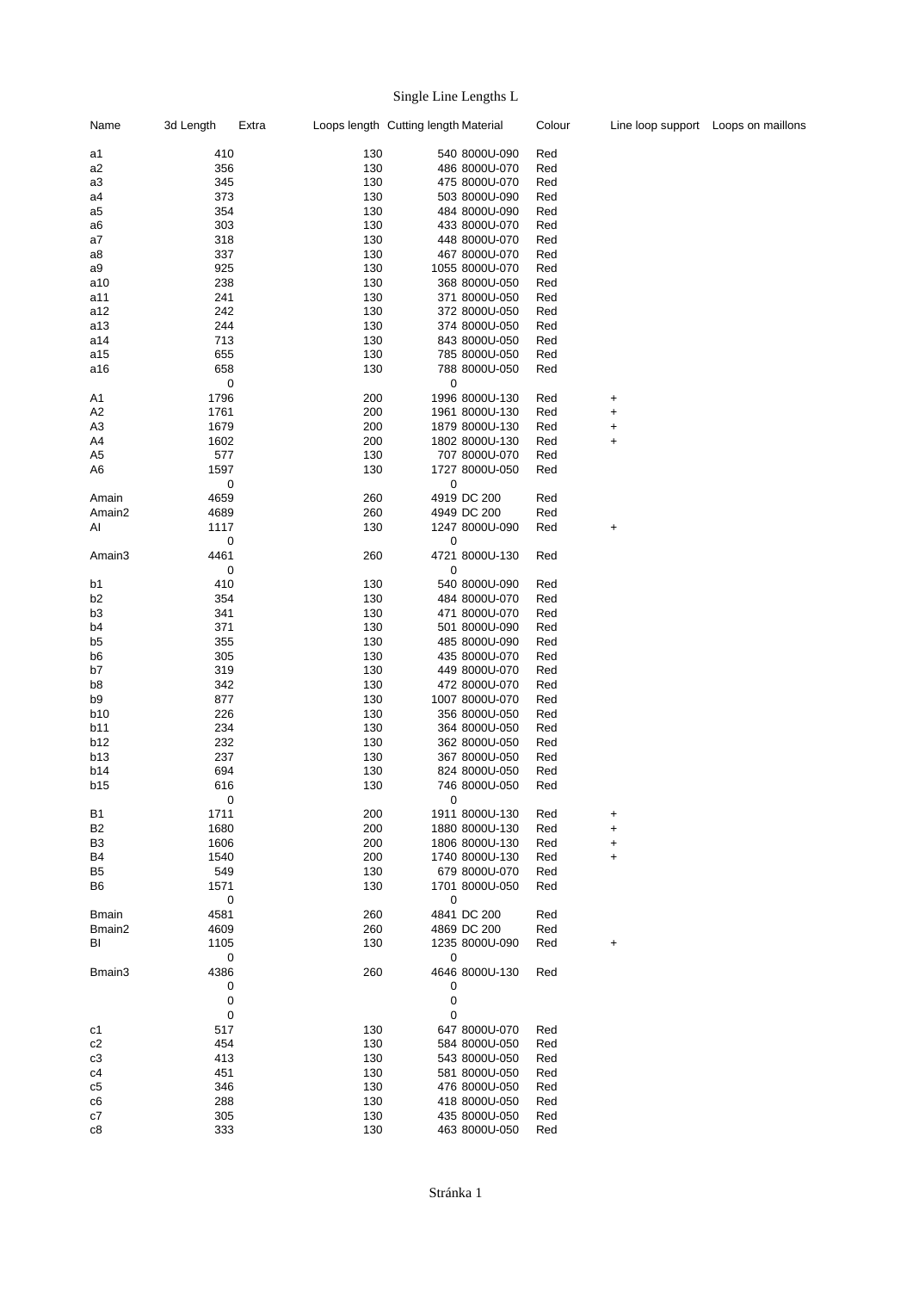# Single Line Lengths L

| Name               | 3d Length | Extra |     | Loops length Cutting length Material |                | Colour |           | Line loop support Loops on maillons |
|--------------------|-----------|-------|-----|--------------------------------------|----------------|--------|-----------|-------------------------------------|
| a1                 | 410       |       | 130 |                                      | 540 8000U-090  | Red    |           |                                     |
| a2                 | 356       |       | 130 |                                      | 486 8000U-070  | Red    |           |                                     |
| a3                 | 345       |       | 130 |                                      | 475 8000U-070  | Red    |           |                                     |
| a4                 | 373       |       | 130 |                                      | 503 8000U-090  | Red    |           |                                     |
| a5                 | 354       |       | 130 |                                      | 484 8000U-090  | Red    |           |                                     |
| a6                 | 303       |       | 130 |                                      | 433 8000U-070  | Red    |           |                                     |
| a7                 | 318       |       | 130 |                                      | 448 8000U-070  | Red    |           |                                     |
|                    | 337       |       | 130 |                                      | 467 8000U-070  |        |           |                                     |
| a8                 |           |       |     |                                      |                | Red    |           |                                     |
| a9                 | 925       |       | 130 |                                      | 1055 8000U-070 | Red    |           |                                     |
| a10                | 238       |       | 130 |                                      | 368 8000U-050  | Red    |           |                                     |
| a11                | 241       |       | 130 |                                      | 371 8000U-050  | Red    |           |                                     |
| a12                | 242       |       | 130 |                                      | 372 8000U-050  | Red    |           |                                     |
| a13                | 244       |       | 130 |                                      | 374 8000U-050  | Red    |           |                                     |
| a14                | 713       |       | 130 |                                      | 843 8000U-050  | Red    |           |                                     |
| a15                | 655       |       | 130 |                                      | 785 8000U-050  | Red    |           |                                     |
| a16                | 658       |       | 130 |                                      | 788 8000U-050  | Red    |           |                                     |
|                    | 0         |       |     | 0                                    |                |        |           |                                     |
| A <sub>1</sub>     | 1796      |       | 200 |                                      | 1996 8000U-130 | Red    | +         |                                     |
| A2                 | 1761      |       | 200 |                                      | 1961 8000U-130 | Red    | $\ddot{}$ |                                     |
| A <sub>3</sub>     | 1679      |       | 200 |                                      | 1879 8000U-130 | Red    | +         |                                     |
| A4                 | 1602      |       | 200 |                                      | 1802 8000U-130 | Red    | $\ddot{}$ |                                     |
| A <sub>5</sub>     | 577       |       | 130 |                                      | 707 8000U-070  | Red    |           |                                     |
| A6                 | 1597      |       | 130 |                                      | 1727 8000U-050 |        |           |                                     |
|                    |           |       |     |                                      |                | Red    |           |                                     |
|                    | 0         |       |     | 0                                    |                |        |           |                                     |
| Amain              | 4659      |       | 260 |                                      | 4919 DC 200    | Red    |           |                                     |
| Amain <sub>2</sub> | 4689      |       | 260 |                                      | 4949 DC 200    | Red    |           |                                     |
| ΑI                 | 1117      |       | 130 |                                      | 1247 8000U-090 | Red    | +         |                                     |
|                    | 0         |       |     | 0                                    |                |        |           |                                     |
| Amain3             | 4461      |       | 260 |                                      | 4721 8000U-130 | Red    |           |                                     |
|                    | 0         |       |     | 0                                    |                |        |           |                                     |
| b1                 | 410       |       | 130 |                                      | 540 8000U-090  | Red    |           |                                     |
| b <sub>2</sub>     | 354       |       | 130 |                                      | 484 8000U-070  | Red    |           |                                     |
| b3                 | 341       |       | 130 |                                      | 471 8000U-070  | Red    |           |                                     |
| b4                 | 371       |       | 130 |                                      | 501 8000U-090  | Red    |           |                                     |
| b5                 | 355       |       | 130 |                                      | 485 8000U-090  | Red    |           |                                     |
| b6                 | 305       |       | 130 |                                      | 435 8000U-070  | Red    |           |                                     |
| b7                 | 319       |       | 130 |                                      | 449 8000U-070  | Red    |           |                                     |
|                    |           |       |     |                                      |                |        |           |                                     |
| b8                 | 342       |       | 130 |                                      | 472 8000U-070  | Red    |           |                                     |
| b9                 | 877       |       | 130 |                                      | 1007 8000U-070 | Red    |           |                                     |
| b10                | 226       |       | 130 |                                      | 356 8000U-050  | Red    |           |                                     |
| b11                | 234       |       | 130 |                                      | 364 8000U-050  | Red    |           |                                     |
| b12                | 232       |       | 130 |                                      | 362 8000U-050  | Red    |           |                                     |
| b13                | 237       |       | 130 |                                      | 367 8000U-050  | Red    |           |                                     |
| b14                | 694       |       | 130 |                                      | 824 8000U-050  | Red    |           |                                     |
| b15                | 616       |       | 130 |                                      | 746 8000U-050  | Red    |           |                                     |
|                    | 0         |       |     | 0                                    |                |        |           |                                     |
| B1                 | 1711      |       | 200 |                                      | 1911 8000U-130 | Red    | +         |                                     |
| B <sub>2</sub>     | 1680      |       | 200 |                                      | 1880 8000U-130 | Red    | $\ddot{}$ |                                     |
| B <sub>3</sub>     | 1606      |       | 200 |                                      | 1806 8000U-130 | Red    | $\ddot{}$ |                                     |
| B4                 | 1540      |       | 200 |                                      | 1740 8000U-130 | Red    | +         |                                     |
| B5                 | 549       |       | 130 |                                      | 679 8000U-070  | Red    |           |                                     |
| B6                 | 1571      |       | 130 |                                      | 1701 8000U-050 | Red    |           |                                     |
|                    | 0         |       |     |                                      |                |        |           |                                     |
|                    |           |       |     | 0                                    |                |        |           |                                     |
| <b>Bmain</b>       | 4581      |       | 260 |                                      | 4841 DC 200    | Red    |           |                                     |
| Bmain2             | 4609      |       | 260 |                                      | 4869 DC 200    | Red    |           |                                     |
| BI                 | 1105      |       | 130 |                                      | 1235 8000U-090 | Red    | +         |                                     |
|                    | 0         |       |     | 0                                    |                |        |           |                                     |
| Bmain3             | 4386      |       | 260 |                                      | 4646 8000U-130 | Red    |           |                                     |
|                    | 0         |       |     | 0                                    |                |        |           |                                     |
|                    | $\pmb{0}$ |       |     | 0                                    |                |        |           |                                     |
|                    | 0         |       |     | 0                                    |                |        |           |                                     |
| c1                 | 517       |       | 130 |                                      | 647 8000U-070  | Red    |           |                                     |
| c2                 | 454       |       | 130 |                                      | 584 8000U-050  | Red    |           |                                     |
| c3                 | 413       |       | 130 |                                      | 543 8000U-050  | Red    |           |                                     |
| c4                 | 451       |       | 130 |                                      | 581 8000U-050  | Red    |           |                                     |
| c5                 | 346       |       | 130 |                                      | 476 8000U-050  | Red    |           |                                     |
| c6                 | 288       |       | 130 |                                      | 418 8000U-050  | Red    |           |                                     |
|                    |           |       |     |                                      |                |        |           |                                     |
| c7                 | 305       |       | 130 |                                      | 435 8000U-050  | Red    |           |                                     |
| c8                 | 333       |       | 130 |                                      | 463 8000U-050  | Red    |           |                                     |